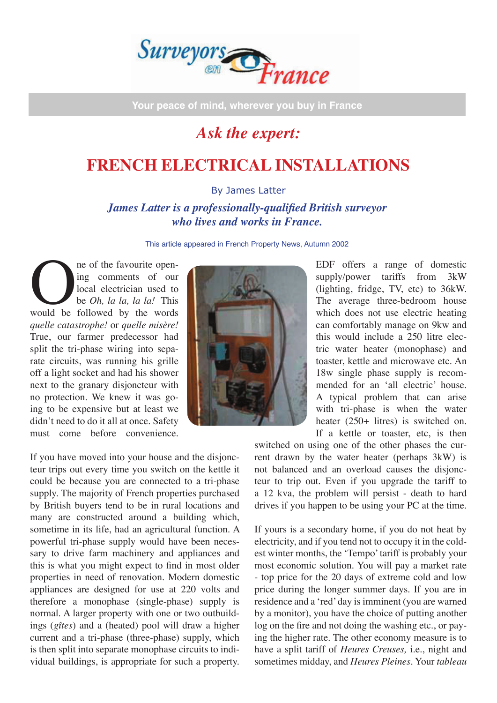

**Your peace of mind, wherever you buy in France**

## *Ask the expert:*

## **FRENCH ELECTRICAL INSTALLATIONS**

By James Latter

*James Latter is a professionally-qualified British surveyor who lives and works in France.* 

This article appeared in French Property News, Autumn 2002

The of the favourite open-<br>
ing comments of our<br>
local electrician used to<br>
be *Oh*, *la la*, *la la!* This<br>
would be followed by the words ing comments of our local electrician used to be *Oh, la la, la la!* This *quelle catastrophe!* or *quelle misère!* True, our farmer predecessor had split the tri-phase wiring into separate circuits, was running his grille off a light socket and had his shower next to the granary disjoncteur with no protection. We knew it was going to be expensive but at least we didn't need to do it all at once. Safety must come before convenience.

If you have moved into your house and the disjoncteur trips out every time you switch on the kettle it could be because you are connected to a tri-phase supply. The majority of French properties purchased by British buyers tend to be in rural locations and many are constructed around a building which, sometime in its life, had an agricultural function. A powerful tri-phase supply would have been necessary to drive farm machinery and appliances and this is what you might expect to find in most older properties in need of renovation. Modern domestic appliances are designed for use at 220 volts and therefore a monophase (single-phase) supply is normal. A larger property with one or two outbuildings (*gîtes*) and a (heated) pool will draw a higher current and a tri-phase (three-phase) supply, which is then split into separate monophase circuits to individual buildings, is appropriate for such a property.



EDF offers a range of domestic supply/power tariffs from 3kW (lighting, fridge, TV, etc) to 36kW. The average three-bedroom house which does not use electric heating can comfortably manage on 9kw and this would include a 250 litre electric water heater (monophase) and toaster, kettle and microwave etc. An 18w single phase supply is recommended for an ʻall electric' house. A typical problem that can arise with tri-phase is when the water heater (250+ litres) is switched on. If a kettle or toaster, etc, is then

switched on using one of the other phases the current drawn by the water heater (perhaps 3kW) is not balanced and an overload causes the disjoncteur to trip out. Even if you upgrade the tariff to a 12 kva, the problem will persist - death to hard drives if you happen to be using your PC at the time.

If yours is a secondary home, if you do not heat by electricity, and if you tend not to occupy it in the coldest winter months, the ʻTempo' tariff is probably your most economic solution. You will pay a market rate - top price for the 20 days of extreme cold and low price during the longer summer days. If you are in residence and a ʻred' day is imminent (you are warned by a monitor), you have the choice of putting another log on the fire and not doing the washing etc., or paying the higher rate. The other economy measure is to have a split tariff of *Heures Creuses,* i.e., night and sometimes midday, and *Heures Pleines*. Your *tableau*